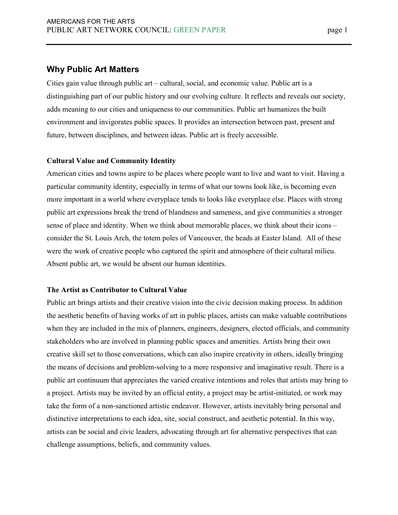# **Why Public Art Matters**

Cities gain value through public art – cultural, social, and economic value. Public art is a distinguishing part of our public history and our evolving culture. It reflects and reveals our society, adds meaning to our cities and uniqueness to our communities. Public art humanizes the built environment and invigorates public spaces. It provides an intersection between past, present and future, between disciplines, and between ideas. Public art is freely accessible.

# **Cultural Value and Community Identity**

American cities and towns aspire to be places where people want to live and want to visit. Having a particular community identity, especially in terms of what our towns look like, is becoming even more important in a world where everyplace tends to looks like everyplace else. Places with strong public art expressions break the trend of blandness and sameness, and give communities a stronger sense of place and identity. When we think about memorable places, we think about their icons – consider the St. Louis Arch, the totem poles of Vancouver, the heads at Easter Island. All of these were the work of creative people who captured the spirit and atmosphere of their cultural milieu. Absent public art, we would be absent our human identities.

# **The Artist as Contributor to Cultural Value**

Public art brings artists and their creative vision into the civic decision making process. In addition the aesthetic benefits of having works of art in public places, artists can make valuable contributions when they are included in the mix of planners, engineers, designers, elected officials, and community stakeholders who are involved in planning public spaces and amenities. Artists bring their own creative skill set to those conversations, which can also inspire creativity in others, ideally bringing the means of decisions and problem-solving to a more responsive and imaginative result. There is a public art continuum that appreciates the varied creative intentions and roles that artists may bring to a project. Artists may be invited by an official entity, a project may be artist-initiated, or work may take the form of a non-sanctioned artistic endeavor. However, artists inevitably bring personal and distinctive interpretations to each idea, site, social construct, and aesthetic potential. In this way, artists can be social and civic leaders, advocating through art for alternative perspectives that can challenge assumptions, beliefs, and community values.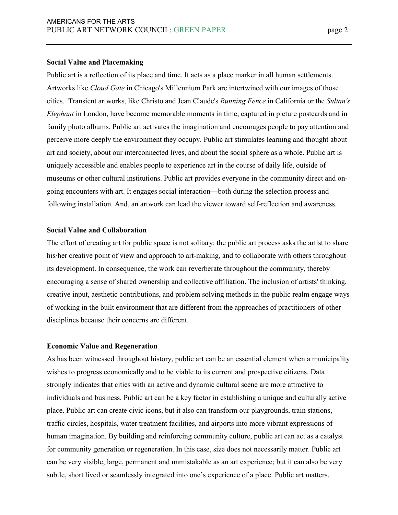#### **Social Value and Placemaking**

Public art is a reflection of its place and time. It acts as a place marker in all human settlements. Artworks like *Cloud Gate* in Chicago's Millennium Park are intertwined with our images of those cities. Transient artworks, like Christo and Jean Claude's *Running Fence* in California or the *Sultan's Elephant* in London, have become memorable moments in time, captured in picture postcards and in family photo albums. Public art activates the imagination and encourages people to pay attention and perceive more deeply the environment they occupy. Public art stimulates learning and thought about art and society, about our interconnected lives, and about the social sphere as a whole. Public art is uniquely accessible and enables people to experience art in the course of daily life, outside of museums or other cultural institutions. Public art provides everyone in the community direct and ongoing encounters with art. It engages social interaction—both during the selection process and following installation. And, an artwork can lead the viewer toward self-reflection and awareness.

### **Social Value and Collaboration**

The effort of creating art for public space is not solitary: the public art process asks the artist to share his/her creative point of view and approach to art-making, and to collaborate with others throughout its development. In consequence, the work can reverberate throughout the community, thereby encouraging a sense of shared ownership and collective affiliation. The inclusion of artists' thinking, creative input, aesthetic contributions, and problem solving methods in the public realm engage ways of working in the built environment that are different from the approaches of practitioners of other disciplines because their concerns are different.

#### **Economic Value and Regeneration**

As has been witnessed throughout history, public art can be an essential element when a municipality wishes to progress economically and to be viable to its current and prospective citizens. Data strongly indicates that cities with an active and dynamic cultural scene are more attractive to individuals and business. Public art can be a key factor in establishing a unique and culturally active place. Public art can create civic icons, but it also can transform our playgrounds, train stations, traffic circles, hospitals, water treatment facilities, and airports into more vibrant expressions of human imagination. By building and reinforcing community culture, public art can act as a catalyst for community generation or regeneration. In this case, size does not necessarily matter. Public art can be very visible, large, permanent and unmistakable as an art experience; but it can also be very subtle, short lived or seamlessly integrated into one's experience of a place. Public art matters.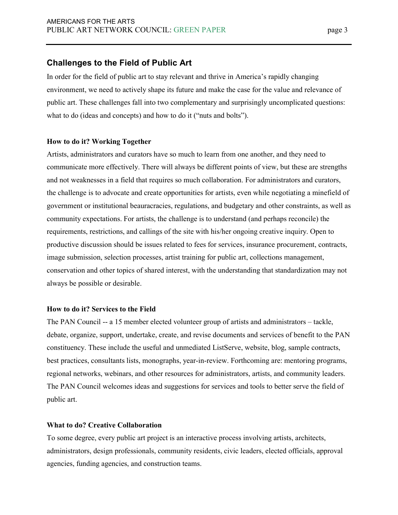# **Challenges to the Field of Public Art**

In order for the field of public art to stay relevant and thrive in America's rapidly changing environment, we need to actively shape its future and make the case for the value and relevance of public art. These challenges fall into two complementary and surprisingly uncomplicated questions: what to do (ideas and concepts) and how to do it ("nuts and bolts").

# **How to do it? Working Together**

Artists, administrators and curators have so much to learn from one another, and they need to communicate more effectively. There will always be different points of view, but these are strengths and not weaknesses in a field that requires so much collaboration. For administrators and curators, the challenge is to advocate and create opportunities for artists, even while negotiating a minefield of government or institutional beauracracies, regulations, and budgetary and other constraints, as well as community expectations. For artists, the challenge is to understand (and perhaps reconcile) the requirements, restrictions, and callings of the site with his/her ongoing creative inquiry. Open to productive discussion should be issues related to fees for services, insurance procurement, contracts, image submission, selection processes, artist training for public art, collections management, conservation and other topics of shared interest, with the understanding that standardization may not always be possible or desirable.

# **How to do it? Services to the Field**

The PAN Council -- a 15 member elected volunteer group of artists and administrators – tackle, debate, organize, support, undertake, create, and revise documents and services of benefit to the PAN constituency. These include the useful and unmediated ListServe, website, blog, sample contracts, best practices, consultants lists, monographs, year-in-review. Forthcoming are: mentoring programs, regional networks, webinars, and other resources for administrators, artists, and community leaders. The PAN Council welcomes ideas and suggestions for services and tools to better serve the field of public art.

## **What to do? Creative Collaboration**

To some degree, every public art project is an interactive process involving artists, architects, administrators, design professionals, community residents, civic leaders, elected officials, approval agencies, funding agencies, and construction teams.